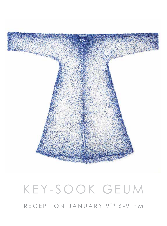# KEY-SOOK GEUM RECEPTION JANUARY 9TH 6-9 PM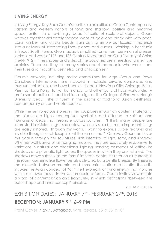### **LIVING ENERGY**

In *Living Energy*, Key-Sook Geum's fourth solo exhibition at Callan Contemporary, Eastern and Western notions of form and shadow, positive and negative space, unite. In a ravishingly beautiful suite of sculptural objects, Geum weaves together delicately shaped webs of gold and black wire with pearl, coral, amber, and crystal beads, transforming simple but luxuriant materials into a network of intersecting lines, planes, and curves. Working in her studio in Seoul, South Korea, Geum adapts simplified forms from ceremonial dresses, jackets, and vests of 17<sup>th</sup> and 18<sup>th</sup> Century Korea and the Qing Dynasty of China (1644-1912). "The shapes and styles of the costumes are interesting to me," she explains, "because they tell many stories about the people who wore them: their lives and thoughts, aesthetics and philosophies."

Geum's artworks, including major commisions for Argo Group and Royal Caribbean International, are included in notable private, corporate, and museum collections and have been exhibited in New York City, Chicago, Berlin, Vienna, Hong Kong, Tokyo, Katmandu, and other cultural hubs worldwide. A professor of textile arts and fashion design at the College of Fine Arts, Hongik University (Seoul), she is fluent in the idioms of traditional Asian aesthetics, contemporary art, and haute couture.

While the semiprecious stones in her sculptures impart an opulent materiality, the pieces are highly conceptual, symbolic, and attuned to spiritual and humanistic ideals that resonate across cultures. "I think many people are interested in visible things," she notes, "while invisible but more important things are easily ignored. Through my works, I want to express visible features and invisible thoughts or philosophies at the same time." One way Geum achieves this goal is through her sculptures' rich interplay of light, form, and shadow. Whether wall-based or as hanging mobiles, they are exquisitely responsive to variations in natural and directional lighting, sending cascades of lattice-like shadows and prismatic light across the spaces in which they are installed. The shadows move subtlely as the forms' intricate contours flutter on air currents in the room, quivering like flower petals activated by a gentle breeze. By finessing the dialectic between material and immaterial, static and kinetic, the artist invokes the Asian concept of "qi," the life-breath or living energy that vibrates within our awareness. In these immaculate forms, Geum invites viewers into a world of contemplation and tranquility, in which distinctions "between the outer shape and inner concept" dissolve.

RICHARD SPEER

## EXHIBITION DATES: JANUARY 7<sup>th</sup> - FEBRUARY 27<sup>th</sup>, 2016

### **Reception: JANUARY 9th 6–9 PM**

Front Cover: *Navy Juangpao,* wire, beads, 65" x 55" x 10"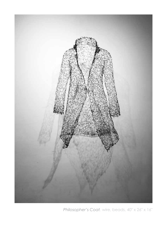

*Philosopher's Coat,* wire, beads, 40" x 26" x 16"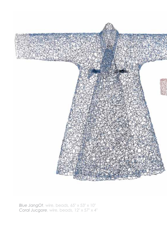

*Blue JangOt*, wire, beads, 65" x 53" x 10" *Coral Jucgore*, wire, beads, 12" x 57" x 4"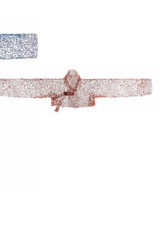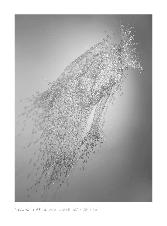

*Nirvana in White,* wire, pearls, 60" x 28" x 16"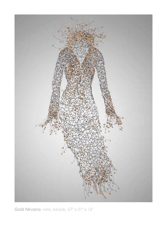

*Gold Nirvana,* wire, beads, 67" x 31" x 16"